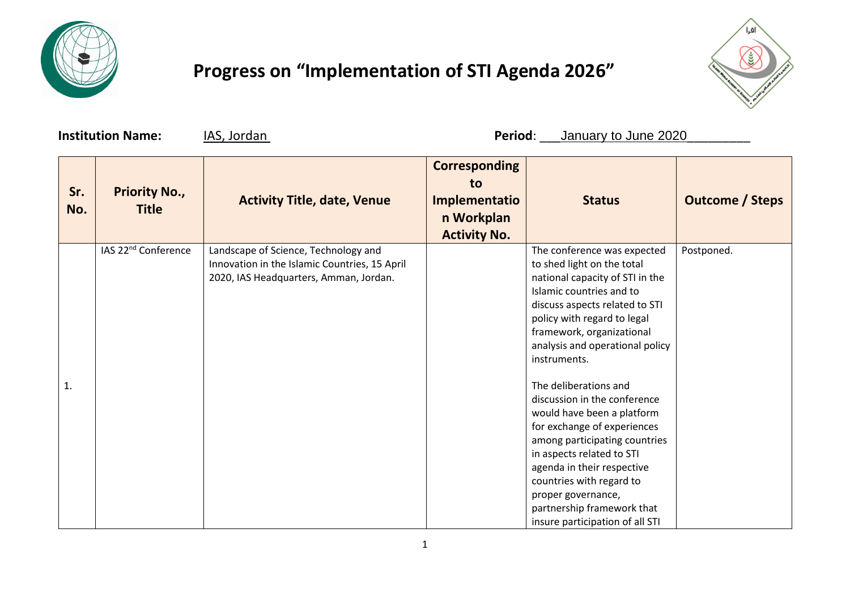

## **Progress on "Implementation of STI Agenda 2026"**



**Institution Name:**  $IAS$ , Jordan **Period**: \_\_\_January to June 2020

| Sr.<br>No.     | <b>Priority No.,</b><br><b>Title</b> | <b>Activity Title, date, Venue</b>                                                                                              | <b>Corresponding</b><br>to<br>Implementatio<br>n Workplan<br><b>Activity No.</b> | <b>Status</b>                                                                                                                                                                                                                                                                                                                                                                                                                                                                                                                                                                                                  | <b>Outcome / Steps</b> |
|----------------|--------------------------------------|---------------------------------------------------------------------------------------------------------------------------------|----------------------------------------------------------------------------------|----------------------------------------------------------------------------------------------------------------------------------------------------------------------------------------------------------------------------------------------------------------------------------------------------------------------------------------------------------------------------------------------------------------------------------------------------------------------------------------------------------------------------------------------------------------------------------------------------------------|------------------------|
| $\mathbf{1}$ . | IAS 22 <sup>nd</sup> Conference      | Landscape of Science, Technology and<br>Innovation in the Islamic Countries, 15 April<br>2020, IAS Headquarters, Amman, Jordan. |                                                                                  | The conference was expected<br>to shed light on the total<br>national capacity of STI in the<br>Islamic countries and to<br>discuss aspects related to STI<br>policy with regard to legal<br>framework, organizational<br>analysis and operational policy<br>instruments.<br>The deliberations and<br>discussion in the conference<br>would have been a platform<br>for exchange of experiences<br>among participating countries<br>in aspects related to STI<br>agenda in their respective<br>countries with regard to<br>proper governance,<br>partnership framework that<br>insure participation of all STI | Postponed.             |